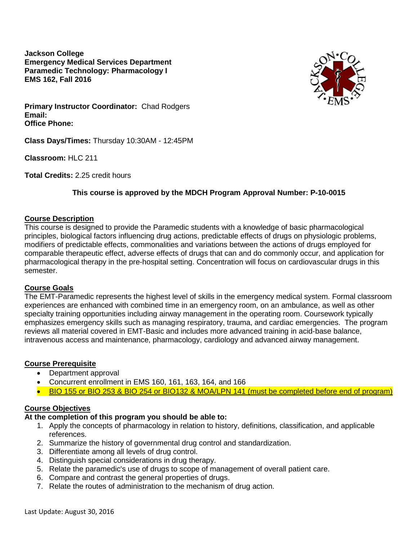**Jackson College Emergency Medical Services Department Paramedic Technology: Pharmacology I EMS 162, Fall 2016**



**Primary Instructor Coordinator:** Chad Rodgers **Email: Office Phone:**

**Class Days/Times:** Thursday 10:30AM - 12:45PM

**Classroom:** HLC 211

**Total Credits:** 2.25 credit hours

## **This course is approved by the MDCH Program Approval Number: P-10-0015**

#### **Course Description**

This course is designed to provide the Paramedic students with a knowledge of basic pharmacological principles, biological factors influencing drug actions, predictable effects of drugs on physiologic problems, modifiers of predictable effects, commonalities and variations between the actions of drugs employed for comparable therapeutic effect, adverse effects of drugs that can and do commonly occur, and application for pharmacological therapy in the pre-hospital setting. Concentration will focus on cardiovascular drugs in this semester.

### **Course Goals**

The EMT-Paramedic represents the highest level of skills in the emergency medical system. Formal classroom experiences are enhanced with combined time in an emergency room, on an ambulance, as well as other specialty training opportunities including airway management in the operating room. Coursework typically emphasizes emergency skills such as managing respiratory, trauma, and cardiac emergencies. The program reviews all material covered in EMT-Basic and includes more advanced training in acid-base balance, intravenous access and maintenance, pharmacology, cardiology and advanced airway management.

### **Course Prerequisite**

- Department approval
- Concurrent enrollment in EMS 160, 161, 163, 164, and 166
- BIO 155 or BIO 253 & BIO 254 or BIO132 & MOA/LPN 141 (must be completed before end of program)

### **Course Objectives**

# **At the completion of this program you should be able to:**

- 1. Apply the concepts of pharmacology in relation to history, definitions, classification, and applicable references.
- 2. Summarize the history of governmental drug control and standardization.
- 3. Differentiate among all levels of drug control.
- 4. Distinguish special considerations in drug therapy.
- 5. Relate the paramedic's use of drugs to scope of management of overall patient care.
- 6. Compare and contrast the general properties of drugs.
- 7. Relate the routes of administration to the mechanism of drug action.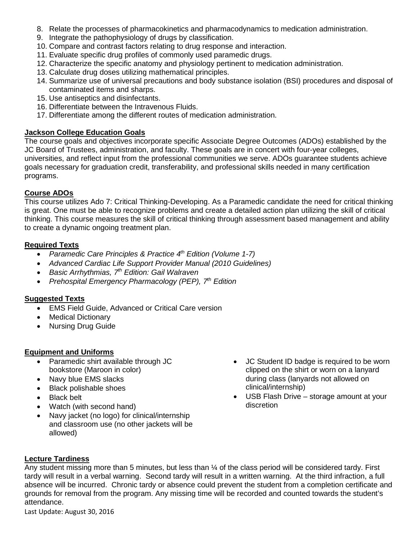- 8. Relate the processes of pharmacokinetics and pharmacodynamics to medication administration.
- 9. Integrate the pathophysiology of drugs by classification.
- 10. Compare and contrast factors relating to drug response and interaction.
- 11. Evaluate specific drug profiles of commonly used paramedic drugs.
- 12. Characterize the specific anatomy and physiology pertinent to medication administration.
- 13. Calculate drug doses utilizing mathematical principles.
- 14. Summarize use of universal precautions and body substance isolation (BSI) procedures and disposal of contaminated items and sharps.
- 15. Use antiseptics and disinfectants.
- 16. Differentiate between the Intravenous Fluids.
- 17. Differentiate among the different routes of medication administration.

## **Jackson College Education Goals**

The course goals and objectives incorporate specific Associate Degree Outcomes (ADOs) established by the JC Board of Trustees, administration, and faculty. These goals are in concert with four-year colleges, universities, and reflect input from the professional communities we serve. ADOs guarantee students achieve goals necessary for graduation credit, transferability, and professional skills needed in many certification programs.

## **Course ADOs**

This course utilizes Ado 7: Critical Thinking-Developing. As a Paramedic candidate the need for critical thinking is great. One must be able to recognize problems and create a detailed action plan utilizing the skill of critical thinking. This course measures the skill of critical thinking through assessment based management and ability to create a dynamic ongoing treatment plan.

## **Required Texts**

- *Paramedic Care Principles & Practice 4th Edition (Volume 1-7)*
- *Advanced Cardiac Life Support Provider Manual (2010 Guidelines)*
- *Basic Arrhythmias, 7th Edition: Gail Walraven*
- *Prehospital Emergency Pharmacology (PEP), 7th Edition*

## **Suggested Texts**

- **EMS Field Guide, Advanced or Critical Care version**
- Medical Dictionary
- Nursing Drug Guide

## **Equipment and Uniforms**

- Paramedic shirt available through JC bookstore (Maroon in color)
- Navy blue EMS slacks
- Black polishable shoes
- **Black belt**
- Watch (with second hand)
- Navy jacket (no logo) for clinical/internship and classroom use (no other jackets will be allowed)
- JC Student ID badge is required to be worn clipped on the shirt or worn on a lanyard during class (lanyards not allowed on clinical/internship)
- USB Flash Drive storage amount at your discretion

### **Lecture Tardiness**

Any student missing more than 5 minutes, but less than ¼ of the class period will be considered tardy. First tardy will result in a verbal warning. Second tardy will result in a written warning. At the third infraction, a full absence will be incurred. Chronic tardy or absence could prevent the student from a completion certificate and grounds for removal from the program. Any missing time will be recorded and counted towards the student's attendance.

Last Update: August 30, 2016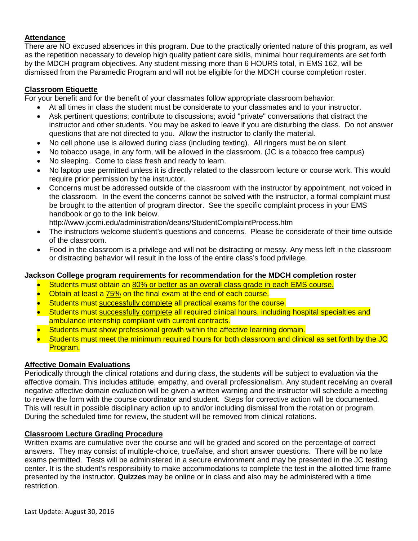### **Attendance**

There are NO excused absences in this program. Due to the practically oriented nature of this program, as well as the repetition necessary to develop high quality patient care skills, minimal hour requirements are set forth by the MDCH program objectives. Any student missing more than 6 HOURS total, in EMS 162, will be dismissed from the Paramedic Program and will not be eligible for the MDCH course completion roster.

### **Classroom Etiquette**

For your benefit and for the benefit of your classmates follow appropriate classroom behavior:

- At all times in class the student must be considerate to your classmates and to your instructor.
- Ask pertinent questions; contribute to discussions; avoid "private" conversations that distract the instructor and other students. You may be asked to leave if you are disturbing the class. Do not answer questions that are not directed to you. Allow the instructor to clarify the material.
- No cell phone use is allowed during class (including texting). All ringers must be on silent.
- No tobacco usage, in any form, will be allowed in the classroom. (JC is a tobacco free campus)
- No sleeping. Come to class fresh and ready to learn.
- No laptop use permitted unless it is directly related to the classroom lecture or course work. This would require prior permission by the instructor.
- Concerns must be addressed outside of the classroom with the instructor by appointment, not voiced in the classroom. In the event the concerns cannot be solved with the instructor, a formal complaint must be brought to the attention of program director. See the specific complaint process in your EMS handbook or go to the link below.

http://www.jccmi.edu/administration/deans/StudentComplaintProcess.htm

- The instructors welcome student's questions and concerns. Please be considerate of their time outside of the classroom.
- Food in the classroom is a privilege and will not be distracting or messy. Any mess left in the classroom or distracting behavior will result in the loss of the entire class's food privilege.

#### **Jackson College program requirements for recommendation for the MDCH completion roster**

- Students must obtain an 80% or better as an overall class grade in each EMS course.
- Obtain at least a 75% on the final exam at the end of each course.
- Students must successfully complete all practical exams for the course.
- Students must successfully complete all required clinical hours, including hospital specialties and ambulance internship compliant with current contracts.
- Students must show professional growth within the affective learning domain.
- Students must meet the minimum required hours for both classroom and clinical as set forth by the JC Program.

#### **Affective Domain Evaluations**

Periodically through the clinical rotations and during class, the students will be subject to evaluation via the affective domain. This includes attitude, empathy, and overall professionalism. Any student receiving an overall negative affective domain evaluation will be given a written warning and the instructor will schedule a meeting to review the form with the course coordinator and student. Steps for corrective action will be documented. This will result in possible disciplinary action up to and/or including dismissal from the rotation or program. During the scheduled time for review, the student will be removed from clinical rotations.

#### **Classroom Lecture Grading Procedure**

Written exams are cumulative over the course and will be graded and scored on the percentage of correct answers. They may consist of multiple-choice, true/false, and short answer questions. There will be no late exams permitted. Tests will be administered in a secure environment and may be presented in the JC testing center. It is the student's responsibility to make accommodations to complete the test in the allotted time frame presented by the instructor. **Quizzes** may be online or in class and also may be administered with a time restriction.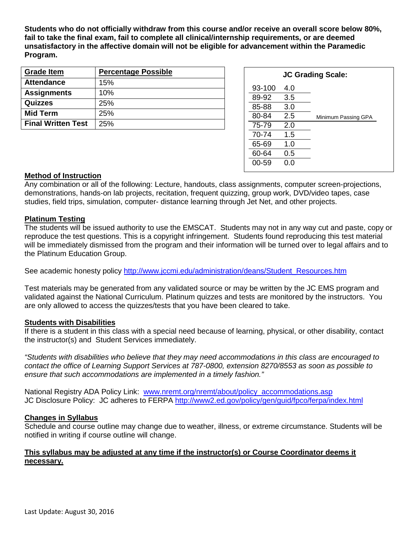**Students who do not officially withdraw from this course and/or receive an overall score below 80%, fail to take the final exam, fail to complete all clinical/internship requirements, or are deemed unsatisfactory in the affective domain will not be eligible for advancement within the Paramedic Program.**

| <b>Grade Item</b>         | <b>Percentage Possible</b> |
|---------------------------|----------------------------|
| <b>Attendance</b>         | 15%                        |
| <b>Assignments</b>        | 10%                        |
| Quizzes                   | 25%                        |
| <b>Mid Term</b>           | 25%                        |
| <b>Final Written Test</b> | 25%                        |

| <b>JC Grading Scale:</b> |     |                     |  |  |  |  |
|--------------------------|-----|---------------------|--|--|--|--|
| 93-100                   | 4.0 |                     |  |  |  |  |
| 89-92                    | 3.5 |                     |  |  |  |  |
| 85-88                    | 3.0 |                     |  |  |  |  |
| 80-84                    | 2.5 | Minimum Passing GPA |  |  |  |  |
| 75-79                    | 2.0 |                     |  |  |  |  |
| 70-74                    | 1.5 |                     |  |  |  |  |
| 65-69                    | 1.0 |                     |  |  |  |  |
| 60-64                    | 0.5 |                     |  |  |  |  |
| 00-59                    | റ റ |                     |  |  |  |  |
|                          |     |                     |  |  |  |  |

#### **Method of Instruction**

Any combination or all of the following: Lecture, handouts, class assignments, computer screen-projections, demonstrations, hands-on lab projects, recitation, frequent quizzing, group work, DVD/video tapes, case studies, field trips, simulation, computer- distance learning through Jet Net, and other projects.

#### **Platinum Testing**

The students will be issued authority to use the EMSCAT. Students may not in any way cut and paste, copy or reproduce the test questions. This is a copyright infringement. Students found reproducing this test material will be immediately dismissed from the program and their information will be turned over to legal affairs and to the Platinum Education Group.

See academic honesty policy [http://www.jccmi.edu/administration/deans/Student\\_Resources.htm](http://www.jccmi.edu/administration/deans/Student_Resources.htm)

Test materials may be generated from any validated source or may be written by the JC EMS program and validated against the National Curriculum. Platinum quizzes and tests are monitored by the instructors. You are only allowed to access the quizzes/tests that you have been cleared to take.

#### **Students with Disabilities**

If there is a student in this class with a special need because of learning, physical, or other disability, contact the instructor(s) and Student Services immediately.

*"Students with disabilities who believe that they may need accommodations in this class are encouraged to contact the office of Learning Support Services at 787-0800, extension 8270/8553 as soon as possible to ensure that such accommodations are implemented in a timely fashion."*

National Registry ADA Policy Link: [www.nremt.org/nremt/about/policy\\_accommodations.asp](http://www.nremt.org/nremt/about/policy_accommodations.asp) JC Disclosure Policy: JC adheres to FERPA<http://www2.ed.gov/policy/gen/guid/fpco/ferpa/index.html>

#### **Changes in Syllabus**

Schedule and course outline may change due to weather, illness, or extreme circumstance. Students will be notified in writing if course outline will change.

#### **This syllabus may be adjusted at any time if the instructor(s) or Course Coordinator deems it necessary.**